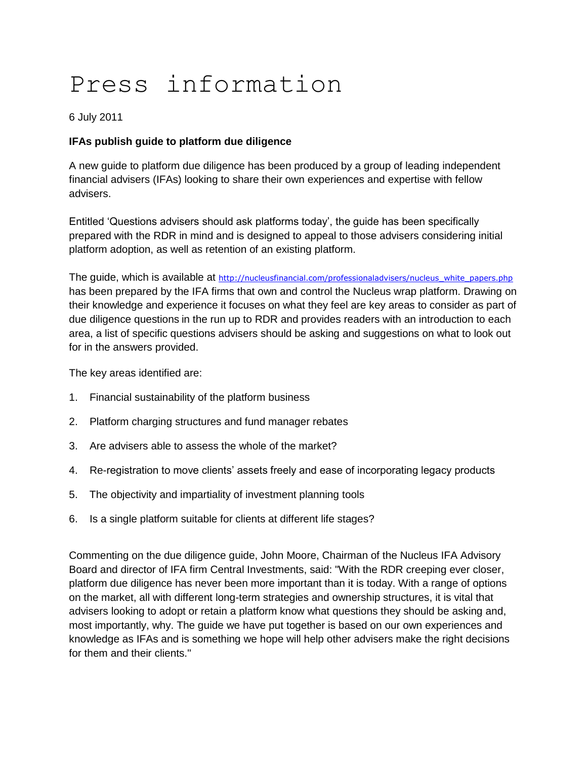## Press information

6 July 2011

## **IFAs publish guide to platform due diligence**

A new guide to platform due diligence has been produced by a group of leading independent financial advisers (IFAs) looking to share their own experiences and expertise with fellow advisers.

Entitled 'Questions advisers should ask platforms today', the guide has been specifically prepared with the RDR in mind and is designed to appeal to those advisers considering initial platform adoption, as well as retention of an existing platform.

The guide, which is available at [http://nucleusfinancial.com/professionaladvisers/nucleus\\_white\\_papers.php](http://nucleusfinancial.com/professionaladvisers/nucleus_white_papers.php) has been prepared by the IFA firms that own and control the Nucleus wrap platform. Drawing on their knowledge and experience it focuses on what they feel are key areas to consider as part of due diligence questions in the run up to RDR and provides readers with an introduction to each area, a list of specific questions advisers should be asking and suggestions on what to look out for in the answers provided.

The key areas identified are:

- 1. Financial sustainability of the platform business
- 2. Platform charging structures and fund manager rebates
- 3. Are advisers able to assess the whole of the market?
- 4. Re-registration to move clients' assets freely and ease of incorporating legacy products
- 5. The objectivity and impartiality of investment planning tools
- 6. Is a single platform suitable for clients at different life stages?

Commenting on the due diligence guide, John Moore, Chairman of the Nucleus IFA Advisory Board and director of IFA firm Central Investments, said: "With the RDR creeping ever closer, platform due diligence has never been more important than it is today. With a range of options on the market, all with different long-term strategies and ownership structures, it is vital that advisers looking to adopt or retain a platform know what questions they should be asking and, most importantly, why. The guide we have put together is based on our own experiences and knowledge as IFAs and is something we hope will help other advisers make the right decisions for them and their clients."